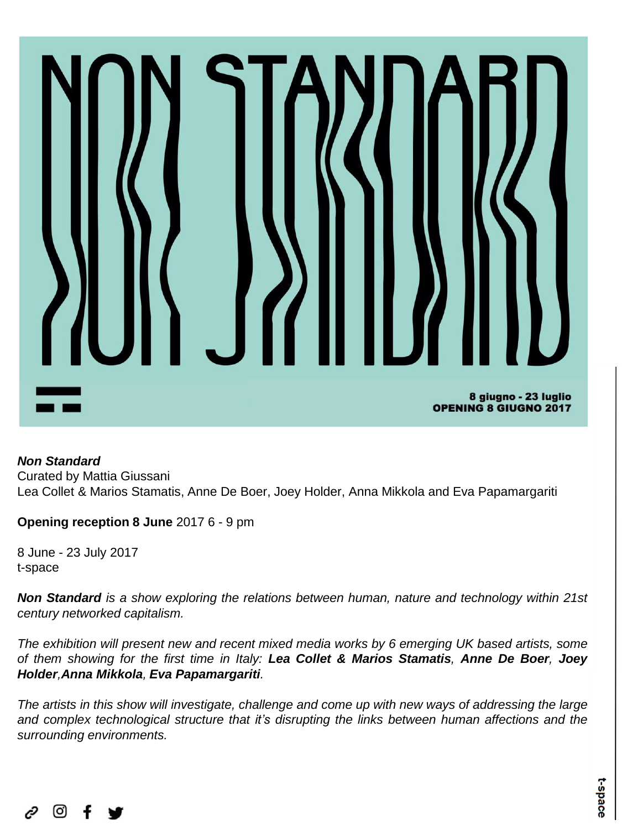## 8 giugno - 23 luglio **OPENING 8 GIUGNO 2017**

## *Non Standard*

Curated by Mattia Giussani Lea Collet & Marios Stamatis, Anne De Boer, Joey Holder, Anna Mikkola and Eva Papamargariti

**Opening reception 8 June** 2017 6 - 9 pm

8 June - 23 July 2017 t-space

*Non Standard is a show exploring the relations between human, nature and technology within 21st century networked capitalism.*

*The exhibition will present new and recent mixed media works by 6 emerging UK based artists, some* of them showing for the first time in Italy: Lea Collet & Marios Stamatis, Anne De Boer, Joey *Holder,Anna Mikkola, Eva Papamargariti.*

The artists in this show will investigate, challenge and come up with new ways of addressing the large *and complex technological structure that it's disrupting the links between human affections and the surrounding environments.*

$$
\mathcal{O} \quad \text{or} \quad f \quad \text{in}
$$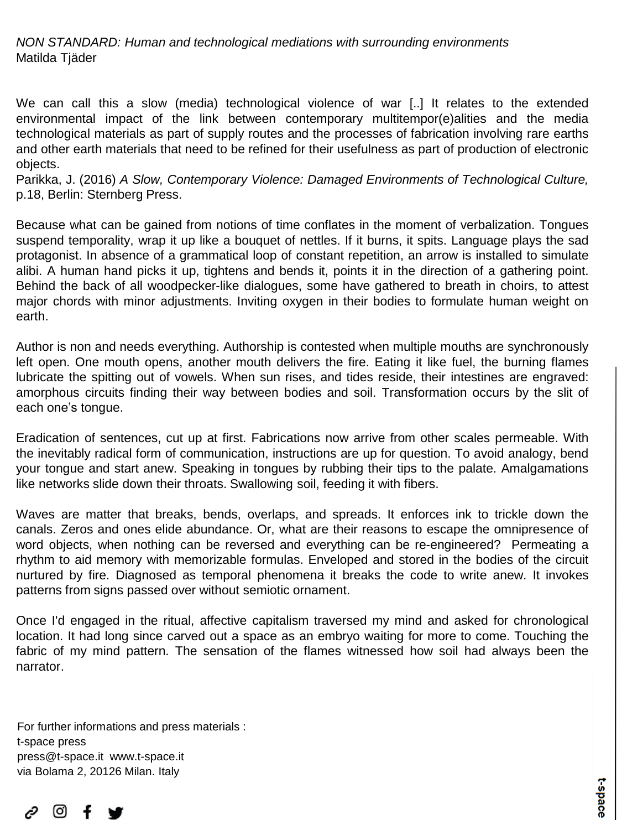*NON STANDARD: Human and technological mediations with surrounding environments* Matilda Tjäder

We can call this a slow (media) technological violence of war [..] It relates to the extended environmental impact of the link between contemporary multitempor(e)alities and the media technological materials as part of supply routes and the processes of fabrication involving rare earths and other earth materials that need to be refined for their usefulness as part of production of electronic objects.

Parikka, J. (2016) *A Slow, Contemporary Violence: Damaged Environments of Technological Culture,* p.18, Berlin: Sternberg Press.

Because what can be gained from notions of time conflates in the moment of verbalization. Tongues suspend temporality, wrap it up like a bouquet of nettles. If it burns, it spits. Language plays the sad protagonist. In absence of a grammatical loop of constant repetition, an arrow is installed to simulate alibi. A human hand picks it up, tightens and bends it, points it in the direction of a gathering point. Behind the back of all woodpecker-like dialogues, some have gathered to breath in choirs, to attest major chords with minor adjustments. Inviting oxygen in their bodies to formulate human weight on earth.

Author is non and needs everything. Authorship is contested when multiple mouths are synchronously left open. One mouth opens, another mouth delivers the fire. Eating it like fuel, the burning flames lubricate the spitting out of vowels. When sun rises, and tides reside, their intestines are engraved: amorphous circuits finding their way between bodies and soil. Transformation occurs by the slit of each one's tongue.

Eradication of sentences, cut up at first. Fabrications now arrive from other scales permeable. With the inevitably radical form of communication, instructions are up for question. To avoid analogy, bend your tongue and start anew. Speaking in tongues by rubbing their tips to the palate. Amalgamations like networks slide down their throats. Swallowing soil, feeding it with fibers.

Waves are matter that breaks, bends, overlaps, and spreads. It enforces ink to trickle down the canals. Zeros and ones elide abundance. Or, what are their reasons to escape the omnipresence of word objects, when nothing can be reversed and everything can be re-engineered? Permeating a rhythm to aid memory with memorizable formulas. Enveloped and stored in the bodies of the circuit nurtured by fire. Diagnosed as temporal phenomena it breaks the code to write anew. It invokes patterns from signs passed over without semiotic ornament.

Once I'd engaged in the ritual, affective capitalism traversed my mind and asked for chronological location. It had long since carved out a space as an embryo waiting for more to come. Touching the fabric of my mind pattern. The sensation of the flames witnessed how soil had always been the narrator.

For further informations and press materials : t-space press press@t-space.it www.t-space.it via Bolama 2, 20126 Milan. Italy